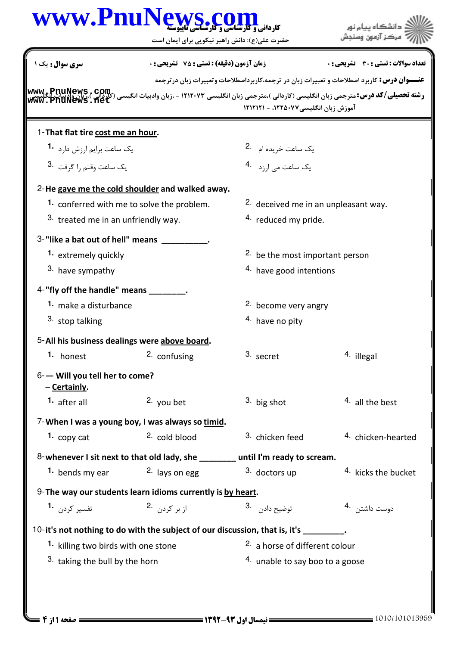|                                                 | www.PnuNews.c<br>حضرت علی(ع): دانش راهبر نیکویی برای ایمان است                        |                                                 | دانشگاه بیام نور                                                                                                                                                                                                                                                               |  |
|-------------------------------------------------|---------------------------------------------------------------------------------------|-------------------------------------------------|--------------------------------------------------------------------------------------------------------------------------------------------------------------------------------------------------------------------------------------------------------------------------------|--|
| سری سوال : یک ۱                                 | <b>زمان آزمون (دقیقه) : تستی : 75 ٪ تشریحی : 0</b>                                    |                                                 | تعداد سوالات : تستي : 30 - تشريحي : 0                                                                                                                                                                                                                                          |  |
|                                                 |                                                                                       | آموزش زبان انگلیسی۷۷۵۰۷۷، - ۱۲۱۲۱۲۱             | <b>عنــــوان درس:</b> کاربرد اصطلاحات و تعبیرات زبان در ترجمه،کاربرداصطلاحات وتعبیرات زبان درترجمه<br><b>www.pnuNews , com</b><br>ر <b>شته تحصیلی/کد درس:</b> مترجمی زبان انگلیسی (کاردانی )،مترجمی زبان انگلیسی ۱۲۱۲۰۷۳ - ،زبان وادبیات انگیسی (کارمانی)<br>میلاد این انگلیسی |  |
| 1-That flat tire cost me an hour.               |                                                                                       |                                                 |                                                                                                                                                                                                                                                                                |  |
| یک ساعت برایم ارزش دارد <sup>1</sup> ۰          |                                                                                       | یک ساعت خریده ام <sup>.2</sup>                  |                                                                                                                                                                                                                                                                                |  |
| یک ساعت وقتم را گرفت <sup>.3</sup>              |                                                                                       |                                                 |                                                                                                                                                                                                                                                                                |  |
|                                                 | 2-He gave me the cold shoulder and walked away.                                       |                                                 |                                                                                                                                                                                                                                                                                |  |
|                                                 | 1. conferred with me to solve the problem.                                            | <sup>2.</sup> deceived me in an unpleasant way. |                                                                                                                                                                                                                                                                                |  |
| 3. treated me in an unfriendly way.             |                                                                                       | 4. reduced my pride.                            |                                                                                                                                                                                                                                                                                |  |
| 3-"like a bat out of hell" means                |                                                                                       |                                                 |                                                                                                                                                                                                                                                                                |  |
| 1. extremely quickly                            |                                                                                       | <sup>2.</sup> be the most important person      |                                                                                                                                                                                                                                                                                |  |
| 3. have sympathy                                |                                                                                       | 4. have good intentions                         |                                                                                                                                                                                                                                                                                |  |
| 4-"fly off the handle" means                    |                                                                                       |                                                 |                                                                                                                                                                                                                                                                                |  |
| 1. make a disturbance                           |                                                                                       | <sup>2.</sup> become very angry                 |                                                                                                                                                                                                                                                                                |  |
| 3. stop talking                                 |                                                                                       | <sup>4.</sup> have no pity                      |                                                                                                                                                                                                                                                                                |  |
|                                                 | 5-All his business dealings were above board.                                         |                                                 |                                                                                                                                                                                                                                                                                |  |
| 1. honest                                       | 2. confusing                                                                          | 3. secret                                       | 4. illegal                                                                                                                                                                                                                                                                     |  |
| 6- - Will you tell her to come?<br>- Certainly. |                                                                                       |                                                 |                                                                                                                                                                                                                                                                                |  |
| 1. after all                                    | 2. you bet                                                                            | $3.$ big shot                                   | 4. all the best                                                                                                                                                                                                                                                                |  |
|                                                 | 7-When I was a young boy, I was always so timid.                                      |                                                 |                                                                                                                                                                                                                                                                                |  |
| 1. $copy$ cat                                   | 2. cold blood                                                                         | 3. chicken feed                                 | 4. chicken-hearted                                                                                                                                                                                                                                                             |  |
|                                                 | 8-whenever I sit next to that old lady, she _______ until I'm ready to scream.        |                                                 |                                                                                                                                                                                                                                                                                |  |
| 1. bends my ear                                 | 2. lays on egg                                                                        | 3. doctors up                                   | <sup>4.</sup> kicks the bucket                                                                                                                                                                                                                                                 |  |
|                                                 | 9- The way our students learn idioms currently is by heart.                           |                                                 |                                                                                                                                                                                                                                                                                |  |
| تفسير كردن 1.                                   | از بر کردن .2                                                                         | توضيح دادن 3.                                   | دوست داشتن 4.                                                                                                                                                                                                                                                                  |  |
|                                                 | 10-it's not nothing to do with the subject of our discussion, that is, it's ________. |                                                 |                                                                                                                                                                                                                                                                                |  |
| 1. killing two birds with one stone             |                                                                                       | <sup>2.</sup> a horse of different colour       |                                                                                                                                                                                                                                                                                |  |
| <sup>3</sup> taking the bull by the horn        |                                                                                       |                                                 | 4. unable to say boo to a goose                                                                                                                                                                                                                                                |  |
|                                                 |                                                                                       |                                                 |                                                                                                                                                                                                                                                                                |  |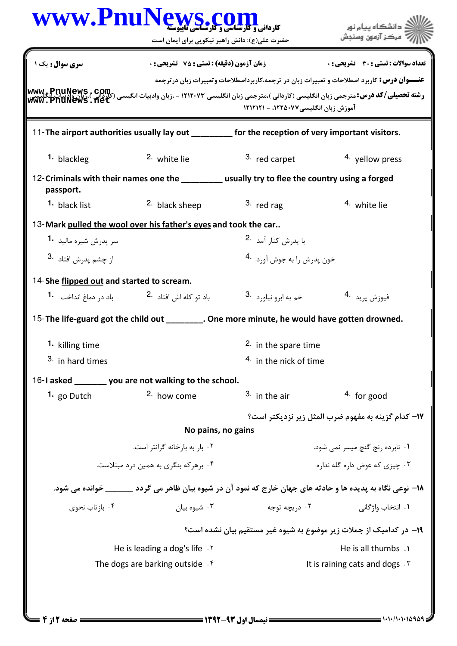| WWW.PnuNews.com                                                 | حضرت علی(ع): دانش راهبر نیکویی برای ایمان است                              |                                                                                                   | .<br>د انشگاه ييام نور<br>' مرڪز آزمون وسنڊش                                                                                                                                                                                                                   |
|-----------------------------------------------------------------|----------------------------------------------------------------------------|---------------------------------------------------------------------------------------------------|----------------------------------------------------------------------------------------------------------------------------------------------------------------------------------------------------------------------------------------------------------------|
| سری سوال: یک ۱                                                  | <b>زمان آزمون (دقیقه) : تستی : 75 ٪ تشریحی : 0</b>                         |                                                                                                   | <b>تعداد سوالات : تستي : 30 ٪ تشريحي : 0</b>                                                                                                                                                                                                                   |
|                                                                 |                                                                            | آموزش زبان انگلیسی۷۷×۱۲۲۵، - ۱۲۱۲۱۲۱                                                              | <b>عنـــوان درس:</b> کاربرد اصطلاحات و تعبیرات زبان در ترجمه،کاربرداصطلاحات وتعبیرات زبان درترجمه<br> www_PnuNews , com<br> سنگ تحصیلی/کد درس:مترجمی زبان انگلیسی (کاردانی )،مترجمی زبان انگلیسی ۱۲۱۲۰۷۳ - ،زبان وادبیات انگیسی (کلد این ا<br> www_PnuNews_net |
|                                                                 |                                                                            | 11-The airport authorities usually lay out ________ for the reception of very important visitors. |                                                                                                                                                                                                                                                                |
| 1. blackleg                                                     | 2. white lie                                                               | 3. red carpet                                                                                     | <sup>4</sup> yellow press                                                                                                                                                                                                                                      |
| passport.                                                       |                                                                            | 12-Criminals with their names one the _________ usually try to flee the country using a forged    |                                                                                                                                                                                                                                                                |
| <sup>1</sup> black list                                         | <sup>2.</sup> black sheep                                                  | $3.$ red rag                                                                                      | 4. white lie                                                                                                                                                                                                                                                   |
| 13-Mark pulled the wool over his father's eyes and took the car |                                                                            |                                                                                                   |                                                                                                                                                                                                                                                                |
| سر پدرش شیره مالید <b>1</b> ۰                                   |                                                                            | با پدرش کنا <sub>د</sub> آمد <sup>.2</sup>                                                        |                                                                                                                                                                                                                                                                |
| از چشم يدرش افتاد <sup>.3</sup>                                 |                                                                            | خون پدرش را به جوش آورد <sup>.4</sup>                                                             |                                                                                                                                                                                                                                                                |
| 14-She flipped out and started to scream.                       |                                                                            |                                                                                                   |                                                                                                                                                                                                                                                                |
|                                                                 | باد تو كله اش افتاد <sup>.2</sup> باد د <sub>ر</sub> دماغ انداخت <b>.1</b> | خم به ابرو نياورد <sup>.3</sup>                                                                   | فيوزش پريد 4.                                                                                                                                                                                                                                                  |
|                                                                 |                                                                            | 15- The life-guard got the child out ________. One more minute, he would have gotten drowned.     |                                                                                                                                                                                                                                                                |
| 1. killing time                                                 |                                                                            | 2. in the spare time                                                                              |                                                                                                                                                                                                                                                                |
| 3. in hard times                                                |                                                                            | <sup>4.</sup> in the nick of time                                                                 |                                                                                                                                                                                                                                                                |
| 16-I asked _______ you are not walking to the school.           |                                                                            |                                                                                                   |                                                                                                                                                                                                                                                                |
| 1. go Dutch                                                     | 2. how come                                                                | $3.$ in the air                                                                                   | $4.$ for good                                                                                                                                                                                                                                                  |
|                                                                 |                                                                            |                                                                                                   | IV− كدام گزينه به مفهوم ضرب المثل زير نزديكتر است؟                                                                                                                                                                                                             |
|                                                                 | No pains, no gains                                                         |                                                                                                   |                                                                                                                                                                                                                                                                |
|                                                                 | ۰۲ بار به بارخانه گرانتر است.                                              |                                                                                                   | ۰۱ نابرده رنج گنچ میسر نمی شود.                                                                                                                                                                                                                                |
|                                                                 | ۴. برهر که بنگری به همین درد مبتلاست.                                      |                                                                                                   | ۰۳ چیزی که عوض داره گله نداره                                                                                                                                                                                                                                  |
|                                                                 |                                                                            |                                                                                                   | ۱۸− نوعی نگاه به پدیده ها و حادثه های جهان خارج که نمود آن در شیوه بیان ظاهر می گردد _______ خوانده می شود.                                                                                                                                                    |
| ۰۴ بازتاب نحوی                                                  | ۰۳ شیوه بیان                                                               | ۰۲ دریچه توجه                                                                                     | ٠١. انتخاب واژگانی                                                                                                                                                                                                                                             |
|                                                                 |                                                                            |                                                                                                   | ۱۹- در کدامیک از جملات زیر موضوع به شیوه غیر مستقیم بیان نشده است؟                                                                                                                                                                                             |
|                                                                 | He is leading a dog's life . Y                                             | He is all thumbs .                                                                                |                                                                                                                                                                                                                                                                |
|                                                                 | The dogs are barking outside $\cdot$ <sup>6</sup>                          |                                                                                                   | It is raining cats and dogs $\cdot$ $\cdot$                                                                                                                                                                                                                    |
|                                                                 |                                                                            |                                                                                                   |                                                                                                                                                                                                                                                                |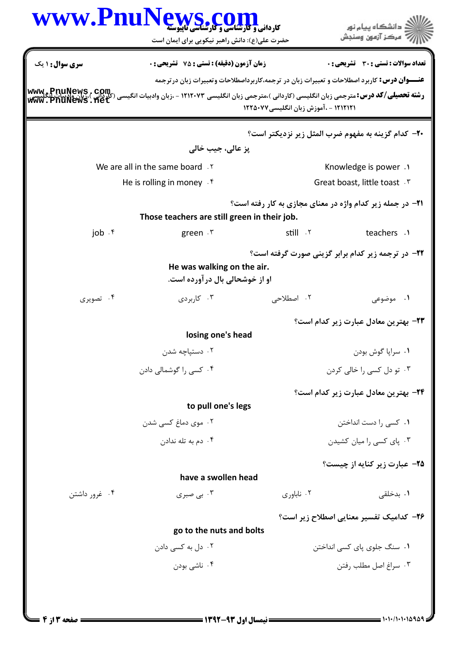|                            | WWW.PnuNews.com<br>حضرت علی(ع): دانش راهبر نیکویی برای ایمان است                                                                                                                                                                |                                                                                                                                            | ≦ دانشگاه پيام نو <b>ر</b><br>' مرڪز آزمون وسنڊش |
|----------------------------|---------------------------------------------------------------------------------------------------------------------------------------------------------------------------------------------------------------------------------|--------------------------------------------------------------------------------------------------------------------------------------------|--------------------------------------------------|
| سری سوال : ۱ یک            | زمان آزمون (دقيقه) : تستى : 75 تشريحى : 0                                                                                                                                                                                       |                                                                                                                                            | تعداد سوالات : تستي : 30 - تشريحي : 0            |
| <b>Www.Pnill</b>           | رشته تحصیلی/کد درس: مترجمی زبان انگلیسی (کاردانی )،مترجمی زبان انگلیسی ۱۲۱۲۰۷۳ - ،زبان وادبیات انگیسی (کلرکانی)<br>در استه تحصیلی/کد درس: مترجمی زبان انگلیسی (کاردانی )،مترجمی زبان انگلیسی ۱۲۱۲۰۷۳ - ،زبان وادبیات انگلیسی از | <b>عنــــوان درس:</b> کاربرد اصطلاحات و تعبیرات زبان در ترجمه،کاربرداصطلاحات وتعبیرات زبان درترجمه<br>۱۲۱۲۱۲۱ - ،آموزش زبان انگلیسی۱۲۲۵۰۷۷ |                                                  |
|                            |                                                                                                                                                                                                                                 | <b>۲۰</b> - کدام گزینه به مفهوم ضرب المثل زیر نزدیکتر است؟                                                                                 |                                                  |
|                            | پز عالی، جیب خالی                                                                                                                                                                                                               |                                                                                                                                            |                                                  |
|                            | We are all in the same board . Y                                                                                                                                                                                                |                                                                                                                                            | Knowledge is power . \                           |
|                            | He is rolling in money $\cdot$ $\uparrow$                                                                                                                                                                                       |                                                                                                                                            | Great boast, little toast . ٣                    |
|                            | Those teachers are still green in their job.                                                                                                                                                                                    | <b>۲۱</b> - در جمله زیر کدام واژه در معنای مجازی به کار رفته است؟                                                                          |                                                  |
| job $\cdot$ $\mathfrak{r}$ | green $\cdot$ $\mathsf{r}$                                                                                                                                                                                                      | still . ٢                                                                                                                                  | teachers .1                                      |
|                            | He was walking on the air.<br>او از خوشحالی بال در آورده است.                                                                                                                                                                   | <b>۲۲- در ترجمه زیر کدام برابر گزینی صورت گرفته است</b> ؟                                                                                  |                                                  |
| ۰۴ تصویری                  | ۰۳ کاربردی                                                                                                                                                                                                                      | ۰۲ اصطلاحی                                                                                                                                 | ۰۱ موضوعی                                        |
|                            | losing one's head                                                                                                                                                                                                               |                                                                                                                                            | <b>۲۳</b> - بهترین معادل عبارت زیر کدام است؟     |
|                            | ۰۲ دستپاچه شدن                                                                                                                                                                                                                  |                                                                                                                                            | ۰۱ سراپا گوش بودن                                |
|                            | ۰۴ کسی را گوشمالی دادن                                                                                                                                                                                                          |                                                                                                                                            | ۰۳ تو دل کسی را خالی کردن                        |
|                            |                                                                                                                                                                                                                                 |                                                                                                                                            | <b>۲۴</b> - بهترین معادل عبارت زیر کدام است؟     |
|                            | to pull one's legs                                                                                                                                                                                                              |                                                                                                                                            |                                                  |
|                            | ۰۲ موی دماغ کسی شدن                                                                                                                                                                                                             |                                                                                                                                            | ۰۱ کسی را دست انداختن                            |
|                            | ۰۴ دم به تله ندادن                                                                                                                                                                                                              |                                                                                                                                            | ۰۳ پای کسی را میان کشیدن                         |
|                            |                                                                                                                                                                                                                                 |                                                                                                                                            | ۲۵– عبارت زیر کنایه از چیست؟                     |
|                            | have a swollen head                                                                                                                                                                                                             |                                                                                                                                            |                                                  |
| ۰۴ غرور داشتن              | ۰۳ بی صبری                                                                                                                                                                                                                      | ۰۲ ناباوری                                                                                                                                 | ۰۱ بدخلقی                                        |
|                            | go to the nuts and bolts                                                                                                                                                                                                        |                                                                                                                                            | ۲۶- کدامیک تفسیر معنایی اصطلاح زیر است؟          |
|                            | ۰۲ دل به کسی دادن                                                                                                                                                                                                               |                                                                                                                                            | ۰۱ سنگ جلوی یای کسی انداختن                      |
|                            | ۰۴ ناشی بودن                                                                                                                                                                                                                    |                                                                                                                                            | ۰۳ سراغ اصل مطلب رفتن                            |
|                            |                                                                                                                                                                                                                                 |                                                                                                                                            |                                                  |
|                            |                                                                                                                                                                                                                                 |                                                                                                                                            |                                                  |